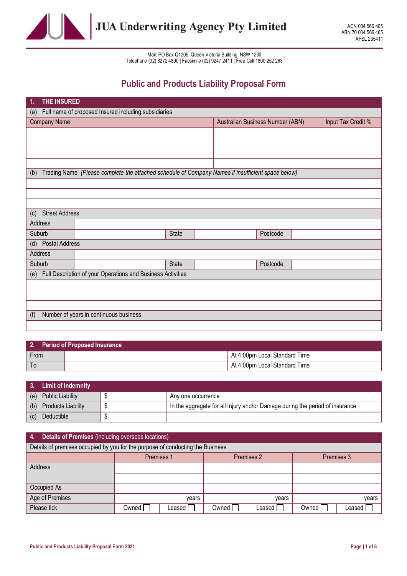

# Public and Products Liability Proposal Form

| THE INSURED<br>1.            |                                                                                                   |              |  |                                  |                    |  |  |
|------------------------------|---------------------------------------------------------------------------------------------------|--------------|--|----------------------------------|--------------------|--|--|
| (a)                          | Full name of proposed Insured including subsidiaries                                              |              |  |                                  |                    |  |  |
| <b>Company Name</b>          |                                                                                                   |              |  | Australian Business Number (ABN) | Input Tax Credit % |  |  |
|                              |                                                                                                   |              |  |                                  |                    |  |  |
|                              |                                                                                                   |              |  |                                  |                    |  |  |
|                              |                                                                                                   |              |  |                                  |                    |  |  |
|                              |                                                                                                   |              |  |                                  |                    |  |  |
| (b)                          | Trading Name (Please complete the attached schedule of Company Names if insufficient space below) |              |  |                                  |                    |  |  |
|                              |                                                                                                   |              |  |                                  |                    |  |  |
|                              |                                                                                                   |              |  |                                  |                    |  |  |
|                              |                                                                                                   |              |  |                                  |                    |  |  |
| <b>Street Address</b><br>(c) |                                                                                                   |              |  |                                  |                    |  |  |
| Address                      |                                                                                                   |              |  |                                  |                    |  |  |
| Suburb                       |                                                                                                   | <b>State</b> |  | Postcode                         |                    |  |  |
| Postal Address<br>(d)        |                                                                                                   |              |  |                                  |                    |  |  |
| Address                      |                                                                                                   |              |  |                                  |                    |  |  |
| Suburb                       |                                                                                                   | <b>State</b> |  | Postcode                         |                    |  |  |
| (e)                          | Full Description of your Operations and Business Activities                                       |              |  |                                  |                    |  |  |
|                              |                                                                                                   |              |  |                                  |                    |  |  |
|                              |                                                                                                   |              |  |                                  |                    |  |  |
|                              |                                                                                                   |              |  |                                  |                    |  |  |
| (f)                          | Number of years in continuous business                                                            |              |  |                                  |                    |  |  |
|                              |                                                                                                   |              |  |                                  |                    |  |  |

|      | 2. Period of Proposed Insurance |                               |
|------|---------------------------------|-------------------------------|
| From |                                 | At 4:00pm Local Standard Time |
| To   |                                 | At 4:00pm Local Standard Time |

|     | 3. Limit of Indemnity  |                                                                              |
|-----|------------------------|------------------------------------------------------------------------------|
|     | (a) Public Liability   | Any one occurrence                                                           |
|     | (b) Products Liability | In the aggregate for all Injury and/or Damage during the period of insurance |
| (c) | Deductible             |                                                                              |

| Details of Premises (including overseas locations)<br><b>A.</b>                |                                        |          |         |        |         |        |  |
|--------------------------------------------------------------------------------|----------------------------------------|----------|---------|--------|---------|--------|--|
| Details of premises occupied by you for the purpose of conducting the Business |                                        |          |         |        |         |        |  |
|                                                                                | Premises 1<br>Premises 2<br>Premises 3 |          |         |        |         |        |  |
| Address                                                                        |                                        |          |         |        |         |        |  |
|                                                                                |                                        |          |         |        |         |        |  |
| Occupied As                                                                    |                                        |          |         |        |         |        |  |
| Age of Premises                                                                |                                        | vears    |         | vears  |         | years  |  |
| Please tick                                                                    | Owned I                                | Leased I | Owned I | Leased | Owned I | Leased |  |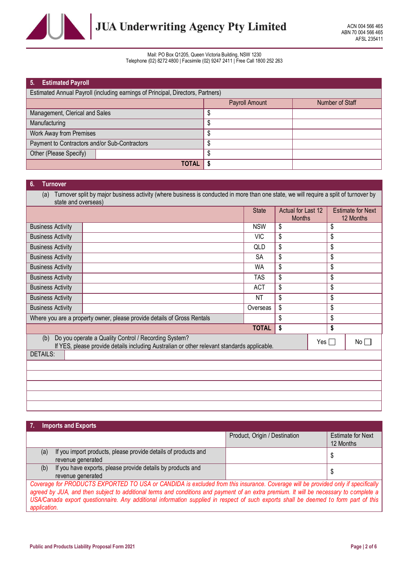

| 5.<br><b>Estimated Payroll</b>                                                  |                |                 |  |  |  |
|---------------------------------------------------------------------------------|----------------|-----------------|--|--|--|
| Estimated Annual Payroll (including earnings of Principal, Directors, Partners) |                |                 |  |  |  |
|                                                                                 | Payroll Amount | Number of Staff |  |  |  |
| Management, Clerical and Sales                                                  |                |                 |  |  |  |
| Manufacturing                                                                   | S              |                 |  |  |  |
| Work Away from Premises                                                         | S              |                 |  |  |  |
| Payment to Contractors and/or Sub-Contractors                                   |                |                 |  |  |  |
| Other (Please Specify)                                                          |                |                 |  |  |  |
| <b>TOTAL</b>                                                                    |                |                 |  |  |  |

## 6. Turnover

(a) Turnover split by major business activity (where business is conducted in more than one state, we will require a split of turnover by state and overseas)

|                          |                                                                                                                                                     | <b>State</b> | Actual for Last 12<br><b>Months</b> |            | <b>Estimate for Next</b><br>12 Months |
|--------------------------|-----------------------------------------------------------------------------------------------------------------------------------------------------|--------------|-------------------------------------|------------|---------------------------------------|
| <b>Business Activity</b> |                                                                                                                                                     | <b>NSW</b>   | \$                                  | \$         |                                       |
| <b>Business Activity</b> |                                                                                                                                                     | <b>VIC</b>   | \$                                  | \$         |                                       |
| <b>Business Activity</b> |                                                                                                                                                     | QLD          | \$                                  | \$         |                                       |
| <b>Business Activity</b> |                                                                                                                                                     | SA           | \$                                  | \$         |                                       |
| <b>Business Activity</b> |                                                                                                                                                     | WA           | \$                                  | \$         |                                       |
| <b>Business Activity</b> |                                                                                                                                                     | TAS.         | \$                                  | \$         |                                       |
| <b>Business Activity</b> |                                                                                                                                                     | <b>ACT</b>   | \$                                  | \$         |                                       |
| <b>Business Activity</b> |                                                                                                                                                     | NT           | \$                                  | \$         |                                       |
| <b>Business Activity</b> |                                                                                                                                                     | Overseas     | \$                                  | \$         |                                       |
|                          | Where you are a property owner, please provide details of Gross Rentals                                                                             |              | \$                                  | \$         |                                       |
|                          |                                                                                                                                                     | <b>TOTAL</b> | \$                                  | \$         |                                       |
| (b)                      | Do you operate a Quality Control / Recording System?<br>If YES, please provide details including Australian or other relevant standards applicable. |              |                                     | $Yes \Box$ | No                                    |
| <b>DETAILS:</b>          |                                                                                                                                                     |              |                                     |            |                                       |
|                          |                                                                                                                                                     |              |                                     |            |                                       |
|                          |                                                                                                                                                     |              |                                     |            |                                       |
|                          |                                                                                                                                                     |              |                                     |            |                                       |
|                          |                                                                                                                                                     |              |                                     |            |                                       |
|                          |                                                                                                                                                     |              |                                     |            |                                       |

|                                                                                                                                                                                                                                                                             | <b>Imports and Exports</b>                                                          |                               |                                       |  |
|-----------------------------------------------------------------------------------------------------------------------------------------------------------------------------------------------------------------------------------------------------------------------------|-------------------------------------------------------------------------------------|-------------------------------|---------------------------------------|--|
|                                                                                                                                                                                                                                                                             |                                                                                     | Product, Origin / Destination | <b>Estimate for Next</b><br>12 Months |  |
| (a)                                                                                                                                                                                                                                                                         | If you import products, please provide details of products and<br>revenue generated |                               |                                       |  |
| (b)                                                                                                                                                                                                                                                                         | If you have exports, please provide details by products and<br>revenue generated    |                               |                                       |  |
| Coverage for PRODUCTS EXPORTED TO USA or CANDIDA is excluded from this insurance. Coverage will be provided only if specifically<br>expect by ILLA, and then oubject to additional terms and conditions and noumant of an outro promium. It will be necessary to complete a |                                                                                     |                               |                                       |  |

agreed by JUA, and then subject to additional terms and conditions and payment of an extra premium. It will be necessary to complete a USA/Canada export questionnaire. Any additional information supplied in respect of such exports shall be deemed to form part of this application.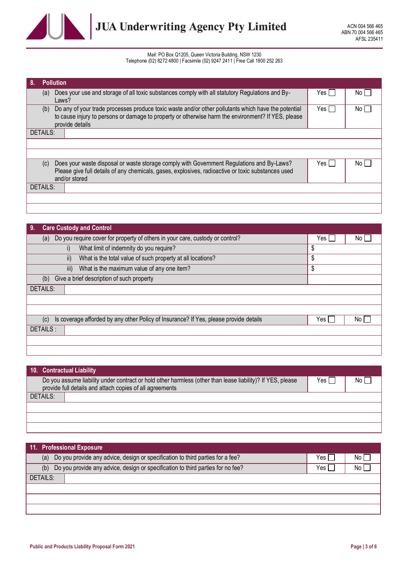

| 8.<br><b>Pollution</b> |                                                                                                                                                                                                           |       |     |
|------------------------|-----------------------------------------------------------------------------------------------------------------------------------------------------------------------------------------------------------|-------|-----|
| (a)<br>Laws?           | Does your use and storage of all toxic substances comply with all statutory Regulations and By-                                                                                                           | Yes I | No. |
| (b)                    | Do any of your trade processes produce toxic waste and/or other pollutants which have the potential<br>to cause injury to persons or damage to property or otherwise harm the environment? If YES, please | Yes I | No. |
| provide details        |                                                                                                                                                                                                           |       |     |
| DETAILS:               |                                                                                                                                                                                                           |       |     |
|                        |                                                                                                                                                                                                           |       |     |
|                        |                                                                                                                                                                                                           |       |     |
| (c)                    | Does your waste disposal or waste storage comply with Government Regulations and By-Laws?                                                                                                                 | Yes I | No. |
|                        | Please give full details of any chemicals, gases, explosives, radioactive or toxic substances used                                                                                                        |       |     |
| and/or stored          |                                                                                                                                                                                                           |       |     |
| DETAILS:               |                                                                                                                                                                                                           |       |     |
|                        |                                                                                                                                                                                                           |       |     |
|                        |                                                                                                                                                                                                           |       |     |

| <b>Care Custody and Control</b><br>$\overline{.9}$                                           |            |      |
|----------------------------------------------------------------------------------------------|------------|------|
| Do you require cover for property of others in your care, custody or control?<br>(a)         | Yes $\Box$ | No I |
| What limit of indemnity do you require?<br>i)                                                | \$         |      |
| What is the total value of such property at all locations?<br>$\mathsf{ii}$                  | \$         |      |
| What is the maximum value of any one item?<br>iii)                                           | \$         |      |
| Give a brief description of such property<br>(b)                                             |            |      |
| <b>DETAILS:</b>                                                                              |            |      |
|                                                                                              |            |      |
|                                                                                              |            |      |
| Is coverage afforded by any other Policy of Insurance? If Yes, please provide details<br>(c) | Yes I      | No.  |
| DETAILS:                                                                                     |            |      |
|                                                                                              |            |      |
|                                                                                              |            |      |

| 10. Contractual Liability                                                                                  |              |      |
|------------------------------------------------------------------------------------------------------------|--------------|------|
| Do you assume liability under contract or hold other harmless (other than lease liability)? If YES, please | Yes $\lceil$ | No l |
| provide full details and attach copies of all agreements                                                   |              |      |
| DETAILS:                                                                                                   |              |      |
|                                                                                                            |              |      |
|                                                                                                            |              |      |
|                                                                                                            |              |      |

| 11. Professional Exposure                                                              |       |      |
|----------------------------------------------------------------------------------------|-------|------|
| Do you provide any advice, design or specification to third parties for a fee?<br>(a)  | Yes ı | No I |
| Do you provide any advice, design or specification to third parties for no fee?<br>(b) | Yes,  | No I |
| DETAILS:                                                                               |       |      |
|                                                                                        |       |      |
|                                                                                        |       |      |
|                                                                                        |       |      |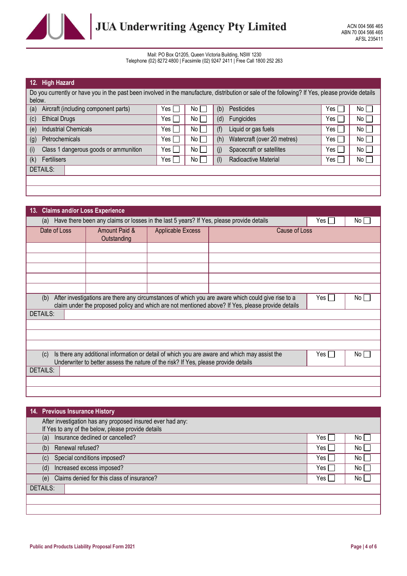

| 12.<br><b>High Hazard</b>                                                                                                                        |       |                 |     |                             |       |                      |
|--------------------------------------------------------------------------------------------------------------------------------------------------|-------|-----------------|-----|-----------------------------|-------|----------------------|
| Do you currently or have you in the past been involved in the manufacture, distribution or sale of the following? If Yes, please provide details |       |                 |     |                             |       |                      |
| below.                                                                                                                                           |       |                 |     |                             |       |                      |
| (a)<br>Aircraft (including component parts)                                                                                                      | Yes I | No I            | (b) | Pesticides                  | Yes l | No I                 |
| <b>Ethical Drugs</b><br>(c)                                                                                                                      | Yes l | No              | (d) | Fungicides                  | Yes   | No <sub>1</sub>      |
| <b>Industrial Chemicals</b><br>(e)                                                                                                               | Yes l | No <sub>L</sub> | (f) | Liquid or gas fuels         | Yes I | $\mathsf{No} \sqcup$ |
| Petrochemicals<br>(g)                                                                                                                            | Yes I | No I            | (h) | Watercraft (over 20 metres) | Yes I | No L                 |
| (i)<br>Class 1 dangerous goods or ammunition                                                                                                     | Yes l | No <sub>L</sub> | (i) | Spacecraft or satellites    | Yes I | No l                 |
| (k)<br>Fertilisers                                                                                                                               | Yes I | No I            | (1) | Radioactive Material        | Yes I | No I                 |
| <b>DETAILS:</b>                                                                                                                                  |       |                 |     |                             |       |                      |
|                                                                                                                                                  |       |                 |     |                             |       |                      |
|                                                                                                                                                  |       |                 |     |                             |       |                      |

| 13. Claims and/or Loss Experience                                                                                                                                                                                                      |                              |                          |  |               |  |  |  |
|----------------------------------------------------------------------------------------------------------------------------------------------------------------------------------------------------------------------------------------|------------------------------|--------------------------|--|---------------|--|--|--|
| Have there been any claims or losses in the last 5 years? If Yes, please provide details<br>Yes    <br>No $\Box$<br>(a)                                                                                                                |                              |                          |  |               |  |  |  |
| Date of Loss                                                                                                                                                                                                                           | Amount Paid &<br>Outstanding | <b>Applicable Excess</b> |  | Cause of Loss |  |  |  |
|                                                                                                                                                                                                                                        |                              |                          |  |               |  |  |  |
|                                                                                                                                                                                                                                        |                              |                          |  |               |  |  |  |
|                                                                                                                                                                                                                                        |                              |                          |  |               |  |  |  |
|                                                                                                                                                                                                                                        |                              |                          |  |               |  |  |  |
|                                                                                                                                                                                                                                        |                              |                          |  |               |  |  |  |
| After investigations are there any circumstances of which you are aware which could give rise to a<br>$Yes$ $\Box$<br>No  <br>(b)<br>claim under the proposed policy and which are not mentioned above? If Yes, please provide details |                              |                          |  |               |  |  |  |
| <b>DETAILS:</b>                                                                                                                                                                                                                        |                              |                          |  |               |  |  |  |
|                                                                                                                                                                                                                                        |                              |                          |  |               |  |  |  |
|                                                                                                                                                                                                                                        |                              |                          |  |               |  |  |  |
|                                                                                                                                                                                                                                        |                              |                          |  |               |  |  |  |
| Is there any additional information or detail of which you are aware and which may assist the<br>$Yes$ $\Box$<br>No I<br>(c)<br>Underwriter to better assess the nature of the risk? If Yes, please provide details                    |                              |                          |  |               |  |  |  |
| DETAILS:                                                                                                                                                                                                                               |                              |                          |  |               |  |  |  |
|                                                                                                                                                                                                                                        |                              |                          |  |               |  |  |  |
|                                                                                                                                                                                                                                        |                              |                          |  |               |  |  |  |

| 14. Previous Insurance History                             |       |      |  |  |  |
|------------------------------------------------------------|-------|------|--|--|--|
| After investigation has any proposed insured ever had any: |       |      |  |  |  |
| If Yes to any of the below, please provide details         |       |      |  |  |  |
| Insurance declined or cancelled?<br>(a)                    | Yes l | No.  |  |  |  |
| Renewal refused?<br>(b)                                    |       | No   |  |  |  |
| Special conditions imposed?<br>(c)                         |       | No I |  |  |  |
| Increased excess imposed?<br>(d)                           |       | No l |  |  |  |
| Claims denied for this class of insurance?<br>(e)          |       | No I |  |  |  |
| DETAILS:                                                   |       |      |  |  |  |
|                                                            |       |      |  |  |  |
|                                                            |       |      |  |  |  |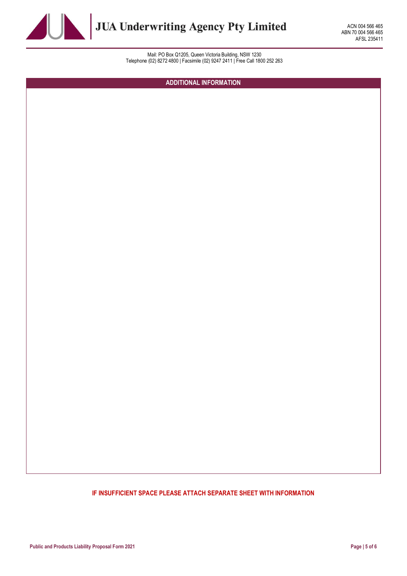

ACN 004 566 465 ABN 70 004 566 465 AFSL 235411

Mail: PO Box Q1205, Queen Victoria Building, NSW 1230 Telephone (02) 8272 4800 | Facsimile (02) 9247 2411 | Free Call 1800 252 263

ADDITIONAL INFORMATION

# IF INSUFFICIENT SPACE PLEASE ATTACH SEPARATE SHEET WITH INFORMATION